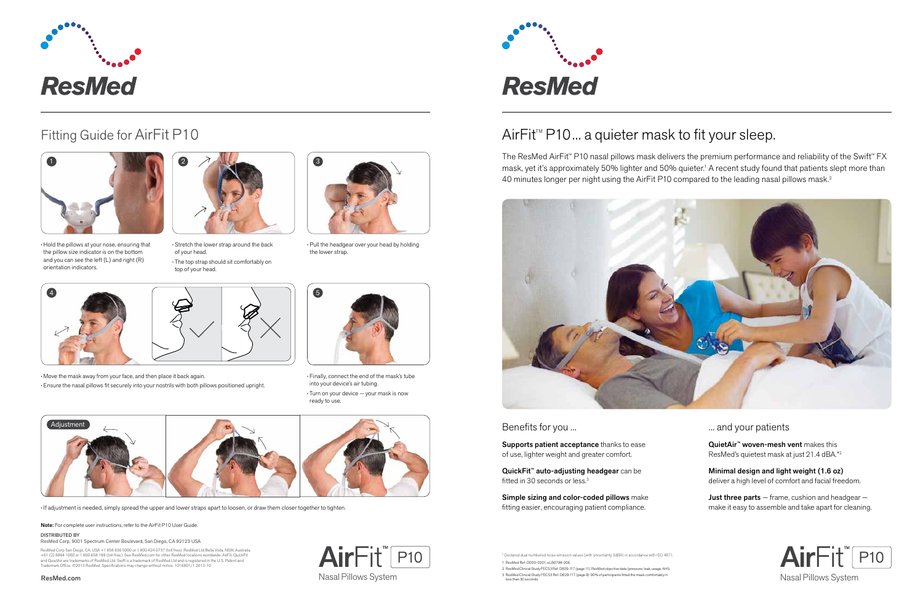

# DirectHome

**Presented With Compliments From** www.DirectHomeMedical.com

## $AirFit^{M} P10...$  a quieter mask to fit your sleep.

The ResMed AirFit™ P10 nasal pillows mask delivers the premium performance and reliability of the Swift™ FX mask, yet it's approximately 50% lighter and 50% quieter.<sup>1</sup> A recent study found that patients slept more than 40 minutes longer per night using the AirFit P10 compared to the leading nasal pillows mask.<sup>2</sup>



#### Benefits for you ...

Supports patient acceptance thanks to ease of use, lighter weight and greater comfort.

QuickFit™ auto-adjusting headgear can be fitted in 30 seconds or less.<sup>3</sup>

Simple sizing and color-coded pillows make fitting easier, encouraging patient compliance.

### ... and your patients

QuietAir™ woven-mesh vent makes this ResMed's quietest mask at just 21.4 dBA.\* 2

Minimal design and light weight (1.6 oz) deliver a high level of comfort and facial freedom.

Just three parts  $-$  frame, cushion and headgear  $$ make it easy to assemble and take apart for cleaning.



- 2 ResMed Clinical Study FECS3 Ref: D629-117 (page 11). ResMed objective data (pressure, leak, usage, AHI).
- 3 ResMed Clinical Study FECS3 Ref: D629-117 (page 9). 90% of participants fitted the mask comfortably in the comment of the comment of the mask comfortably in the comment of the comment of the comment of the comment of the